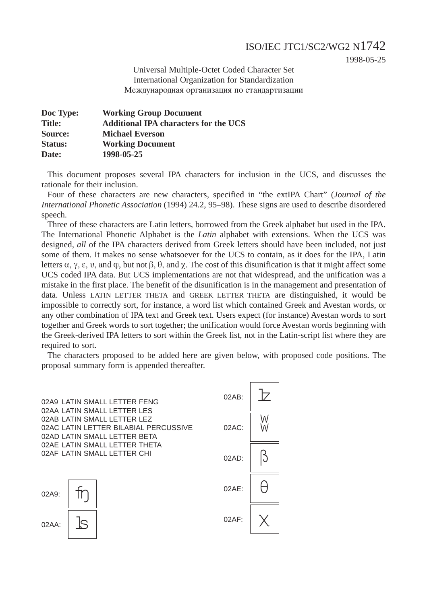1998-05-25

Universal Multiple-Octet Coded Character Set International Organization for Standardization Международная организация по стандартизации

| Doc Type:      | <b>Working Group Document</b>                |
|----------------|----------------------------------------------|
| <b>Title:</b>  | <b>Additional IPA characters for the UCS</b> |
| Source:        | <b>Michael Everson</b>                       |
| <b>Status:</b> | <b>Working Document</b>                      |
| Date:          | 1998-05-25                                   |

This document proposes several IPA characters for inclusion in the UCS, and discusses the rationale for their inclusion.

Four of these characters are new characters, specified in "the extIPA Chart" (*Journal of the International Phonetic Association* (1994) 24.2, 95–98). These signs are used to describe disordered speech.

Three of these characters are Latin letters, borrowed from the Greek alphabet but used in the IPA. The International Phonetic Alphabet is the *Latin* alphabet with extensions. When the UCS was designed, *all* of the IPA characters derived from Greek letters should have been included, not just some of them. It makes no sense whatsoever for the UCS to contain, as it does for the IPA, Latin letters  $\alpha$ ,  $\gamma$ ,  $\varepsilon$ ,  $\nu$ , and  $\varphi$ , but not  $\beta$ ,  $\theta$ , and  $\gamma$ . The cost of this disunification is that it might affect some UCS coded IPA data. But UCS implementations are not that widespread, and the unification was a mistake in the first place. The benefit of the disunification is in the management and presentation of data. Unless LATIN LETTER THETA and GREEK LETTER THETA are distinguished, it would be impossible to correctly sort, for instance, a word list which contained Greek and Avestan words, or any other combination of IPA text and Greek text. Users expect (for instance) Avestan words to sort together and Greek words to sort together; the unification would force Avestan words beginning with the Greek-derived IPA letters to sort within the Greek list, not in the Latin-script list where they are required to sort.

The characters proposed to be added here are given below, with proposed code positions. The proposal summary form is appended thereafter.

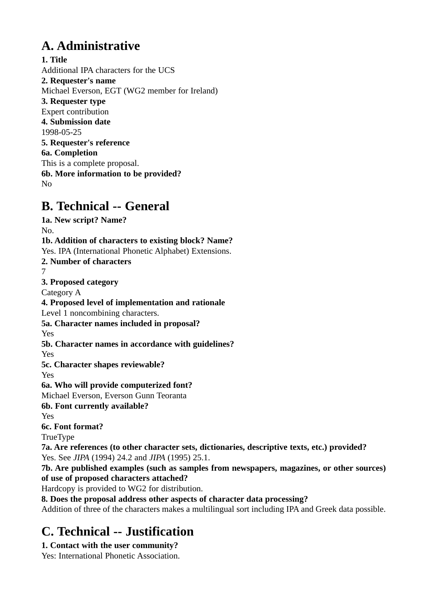# **A. Administrative**

**1. Title** Additional IPA characters for the UCS **2. Requester's name** Michael Everson, EGT (WG2 member for Ireland) **3. Requester type** Expert contribution **4. Submission date** 1998-05-25 **5. Requester's reference 6a. Completion** This is a complete proposal. **6b. More information to be provided?** No

## **B. Technical -- General**

**1a. New script? Name?** No. **1b. Addition of characters to existing block? Name?** Yes. IPA (International Phonetic Alphabet) Extensions. **2. Number of characters** 7 **3. Proposed category** Category A **4. Proposed level of implementation and rationale** Level 1 noncombining characters. **5a. Character names included in proposal?** Yes **5b. Character names in accordance with guidelines?** Yes **5c. Character shapes reviewable?** Yes **6a. Who will provide computerized font?** Michael Everson, Everson Gunn Teoranta **6b. Font currently available?** Yes **6c. Font format?** TrueType **7a. Are references (to other character sets, dictionaries, descriptive texts, etc.) provided?** Yes. See *JIPA* (1994) 24.2 and *JIPA* (1995) 25.1. **7b. Are published examples (such as samples from newspapers, magazines, or other sources) of use of proposed characters attached?** Hardcopy is provided to WG2 for distribution. **8. Does the proposal address other aspects of character data processing?** Addition of three of the characters makes a multilingual sort including IPA and Greek data possible.

# **C. Technical -- Justification**

### **1. Contact with the user community?**

Yes: International Phonetic Association.